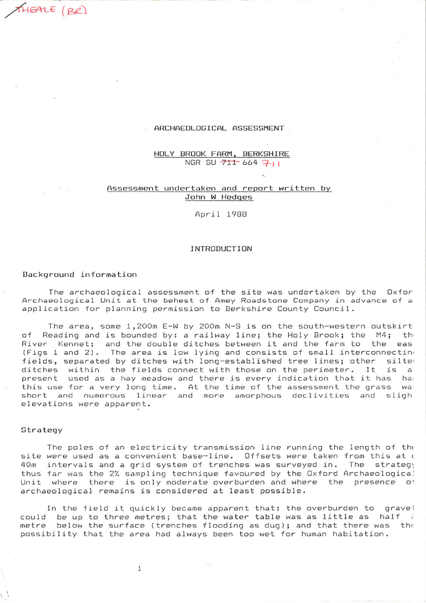## ARCHAEOLOGICAL ASSESSMENT

HOLY BROOK FARM, BERKSHIRE NGR SU 711 664 711

## Assessment undertaken and report written by John W Hedges

April 1988

## INTRODUCTION

## Background information

THEALE (BR)

The archaeological assessment of the site was undertaken by the Oxfor Archaeological Unit at the behest of Amey Roadstone Company in advance of a application for planning permission to Berkshire County Council.

The area, some 1,200m E-W by 200m N-S is on the south-western outskirt Reading and is bounded by: a railway line; the Holy Brook; the M4; the  $\circ$  f River Kennet; and the double ditches between it and the farm to the eas (Figs 1 and 2). The area is low lying and consists of small interconnecting fields, separated by ditches with long-established tree lines; other silted ditches within the fields connect with those on the perimeter. It is  $\overline{a}$ present used as a hay meadow and there is every indication that it has ha this use for a very long time. At the time of the assessment the grass wa<sup>-</sup> short and numerous linear and more amorphous declivities and sligh elevations were apparent.

## Strategy

The poles of an electricity transmission line running the length of the site were used as a convenient base-line. Offsets were taken from this at o 40m intervals and a grid system of trenches was surveyed in. The strategy thus far was the 2% sampling technique favoured by the Oxford Archaeological Unit where there is only moderate overburden and where the presence of archaeological remains is considered at least possible.

In the field it quickly became apparent that: the overburden to gravel could be up to three metres; that the water table was as little as half i metre below the surface (trenches flooding as dug); and that there was the possibility that the area had always been too wet for human habitation.

 $1\,$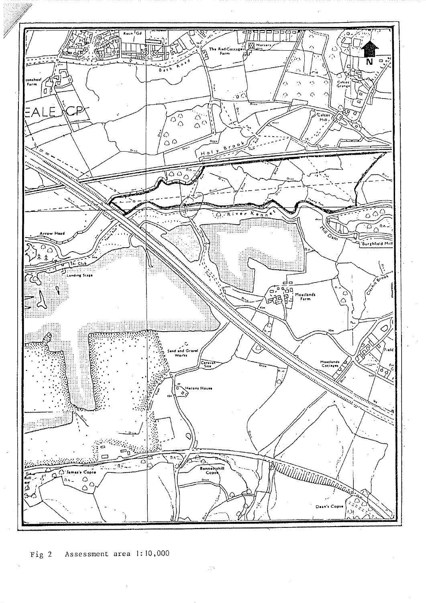

Assessment area 1:10,000 Fig  $2$ 

 $\mathcal{L}^{\alpha}_{\alpha\beta}$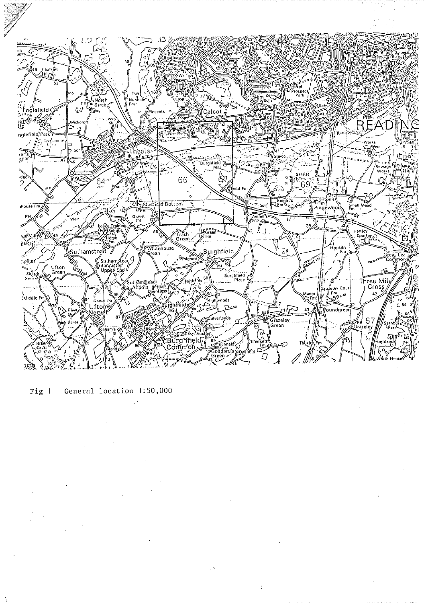

Fig  $l$ General location 1:50,000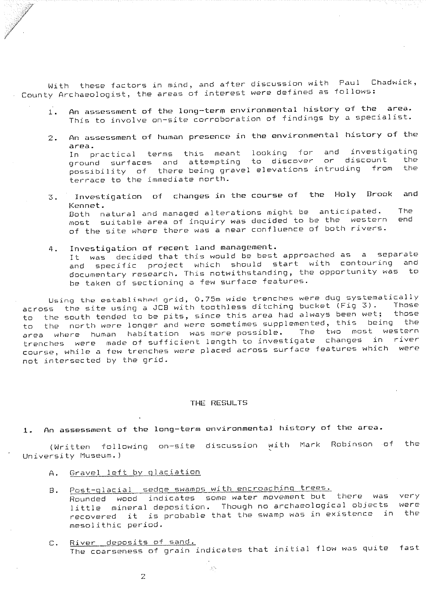With these factors in mind, and after discussion with Paul Chadwick, County Archaeologist, the areas of interest were defined as follows:

- An assessment of the long-term environmental history of the area.  $1.$ This to involve on-site corroboration of findings by a specialist.
- An assessment of human presence in the environmental history of the  $\mathbb{Z}$ . area. In practical terms this meant looking for and investigating or discount the ground surfaces and attempting to discover possibility of there being gravel elevations intruding from the terrace to the immediate north.
- Investigation of changes in the course of the Holy Brook and  $3.1$ Kennet. Both natural and managed alterations might be anticipated. The most suitable area of inquiry was decided to be the western end of the site where there was a near confluence of both rivers.
- Investigation of recent land management. 4. It was decided that this would be best approached as a separate and specific project which should start with contouring and documentary research. This notwithstanding, the opportunity was to be taken of sectioning a few surface features.

Using the established grid, 0.75m wide trenches were dug systematically across the site using a JCB with toothless ditching bucket (Fig 3). Those the south tended to be pits, since this area had always been wet; those  $to$ the north were longer and were sometimes supplemented, this being the to area where human habitation was more possible. The two most western trenches were made of sufficient length to investigate changes in river course, while a few trenches were placed across surface features which were not intersected by the grid.

# THE RESULTS

An assessment of the long-term environmental history of the area.  $1.$ 

(Written following on-site discussion with Mark Robinson of the University Museum.)

- Gravel left by glaciation  $A_{\perp}$
- Post-glacial sedge swamps with encroaching trees. Β. Rounded wood indicates some water movement but there was very little mineral deposition. Though no archaeological objects were recovered it is probable that the swamp was in existence in the mesolithic period.
- River deposits of sand.  $C_{\star}$ The coarseness of grain indicates that initial flow was quite fast

 $\beta\gamma$ 

 $\bar{z}$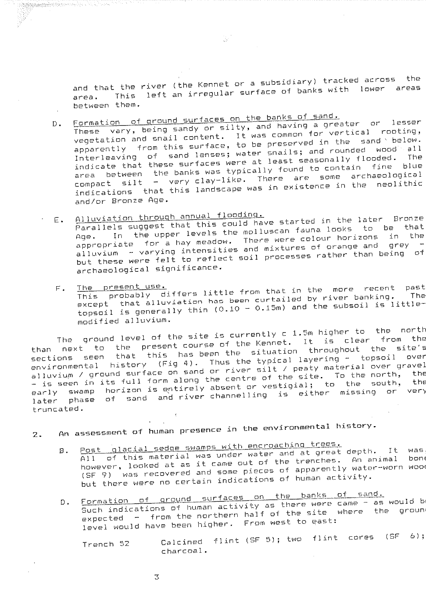and that the river (the Kennet or a subsidiary) tracked across the This left an irregular surface of banks with lower areas area. between them.

 $\mathcal{G}^{\mathcal{P}}$ 

Formation of ground surfaces on the banks of sand.  $D$ .

<u>lagggagagagala</u>da lasan na distritta d

These vary, being sandy or silty, and having a greater or lesser vegetation and snail content. It was common for vertical rooting, apparently from this surface, to be preserved in the sand below. Interleaving of sand lenses; water snails; and rounded wood all indicate that these surfaces were at least seasonally flooded. The area between the banks was typically found to contain fine blue compact silt - very clay-like. There are some archaeological indications that this landscape was in existence in the  $\small{\mathsf{neol}}$ ithic and/or Bronze Age.

Alluviation through annual flooding. Parallels suggest that this could have started in the later Bronze Ε. In the upper levels the molluscan fauna looks to be that appropriate for a hay meadow. There were colour horizons in the<br>alluvium – varying intensities and mixtures of orange and grey – but these were felt to reflect soil processes rather than being of  $\arctan$ archaeological significance.

This probably differs little from that in the more recent past  $F =$ except that alluviation has been curtailed by river banking. topsoil is generally thin (0.10 - 0.15m) and the subsoil is littlemodified alluvium.

The ground level of the site is currently c 1.5m higher to the north next to the present-course-of-the-Kennet. It is clear from the sections seen that this has been the situation throughout the site's environmental history (Fig 4). Thus the typical layering - topsoil over alluvium / ground surface on sand or river silt / peaty material over gravel early swamp horizon is entirely absent or vestigial; to the south, the later phase of sand and river-channelling is either missing or very truncated.

An assessment of human presence in the environmental history.  $\overline{z}$ .

# Post glacial sedge swamps with encroaching trees.

All of this material was under water and at great depth. It was **B**. however, looked at as it came out of the trenches. An animal nowever, reduce we we arrested and some pieces of apparently water-worn wood but there were no certain indications of human activity.

Formation of ground surfaces on the banks of sand.  $D$ .

Such indications of human activity as there were came - as would b expected - from the northern half of the site where the groun level would have been higher. From west to east:

Calcined flint (SF 5); two flint cores (SF  $6)$ ; Trench 52 charcoal.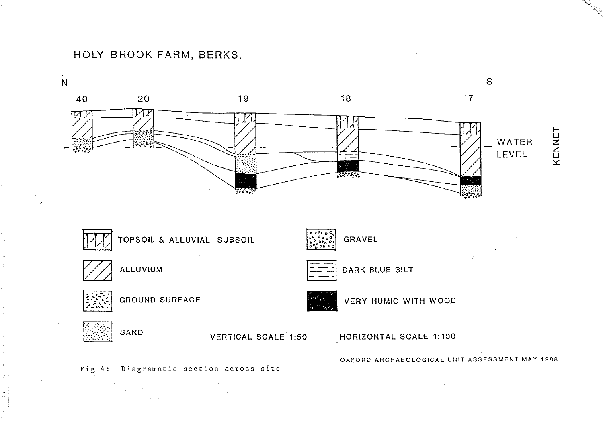HOLY BROOK FARM, BERKS.

-9

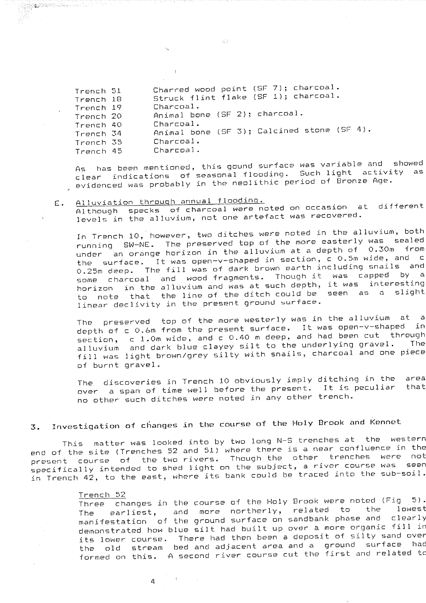| Trench 51 | Charred wood point (SF /); charcoal.       |
|-----------|--------------------------------------------|
| Trench 18 | Struck flint flake (SF 1); charcoal.       |
| Trench 19 | Charcoal.                                  |
| Trench 20 | Animal bone (SF 2); charcoal.              |
| Trench 40 | Charcoal.                                  |
| Trench 34 | Animal bone (SF 3); Calcined stone (SF 4). |
| Trench 35 | Charcoal.                                  |
| Trench 45 | Charcoal.                                  |

has been mentioned, this gound surface was variable and showed  $A5$ clear indications of seasonal flooding. Such light activity as , evidenced was probably in the neolithic period of Bronze Age.

#### Alluviation through annual flooding. E.

Although specks of charcoal were noted on occasion at different levels in the alluvium, not one artefact was recovered.

In Trench 10, however, two ditches were noted in the alluvium, both running SW-NE. The preserved top of the more easterly was sealed under an orange horizon in the alluvium at a depth of 0.30m from the surface. It was open-v-shaped in section, c 0.5m wide, and c 0.25m deep. The fill was of dark brown earth including snails and charcoal and wood fragments. Though it was capped by a some horizon in the alluvium and was at such depth, it was interesting to note that the line of the ditch could be seen as a slight linear declivity in the present ground surface.

The preserved top of the more westerly was in the alluvium at a depth of c 0.6m from the present surface. It was open-v-shaped in section, c 1.0m wide, and c 0.40 m deep, and had been cut through alluvium and dark blue clayey silt to the underlying gravel. The fill was light brown/grey silty with snails, charcoal and one piece of burnt gravel.

The discoveries in Trench 10 obviously imply ditching in the area over a span of time well before the present. It is peculiar that no other such ditches were noted in any other trench.

## Investigation of changes in the course of the Holy Brook and Kennet  $\mathcal{I}$ .

This matter was looked into by two long N-S trenches at the western end of the site (Trenches 52 and 51) where there is a near confluence in the present course of the two rivers. Though the other trenches were not .<br>specifically intended to shed light on the subject, a river course was seen in Trench 42, to the east, where its bank could be traced into the sub-soil.

### Trench 52

changes in the course of the Holy Brook were noted (Fig 5). Three the lowest earliest, and more northerly, related to The manifestation of the ground surface on sandbank phase and clearly demonstrated how blue silt had built up over a more organic fill in its lower course. There had then been a deposit of silty sand over the old stream bed and adjacent area and a ground surface had formed on this. A second river course cut the first and related to

 $\lambda_{\rm c}$  of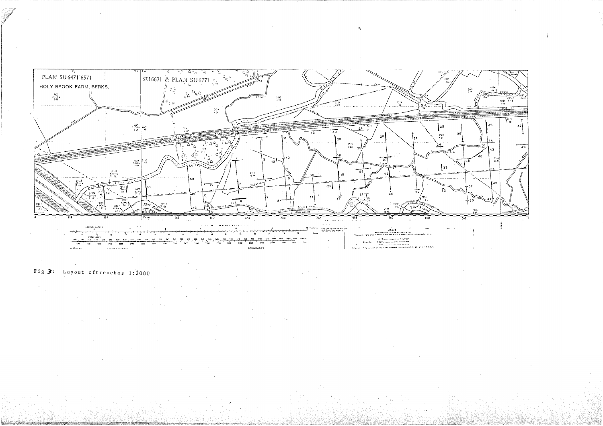

and the second second line.<br>Second second second line.<br>Second second second second second second second second second second second second second second second second  $\frac{1920}{1500} = \frac{1020}{1020}$  $\sim$  3 fm in . **BOUNDARIES** 

 $\sim 10^7$ 

# Fig  $\overline{3}$ : Layout oftrenches 1:2000

 $\mathcal{A}_{\mathcal{A}}$ 

 $\mathbf{Q}$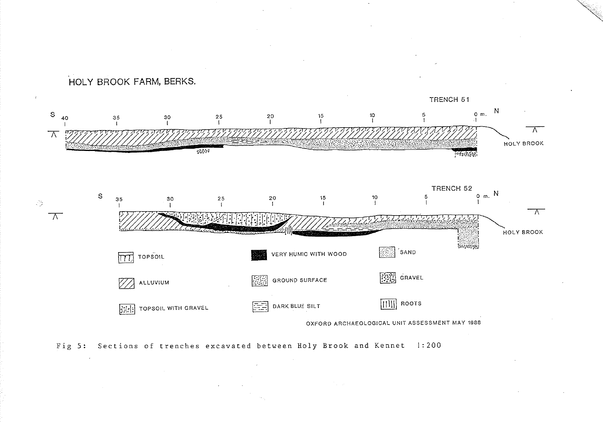

Fig 5: Sections of trenches excavated between Holy Brook and Kennet 1:200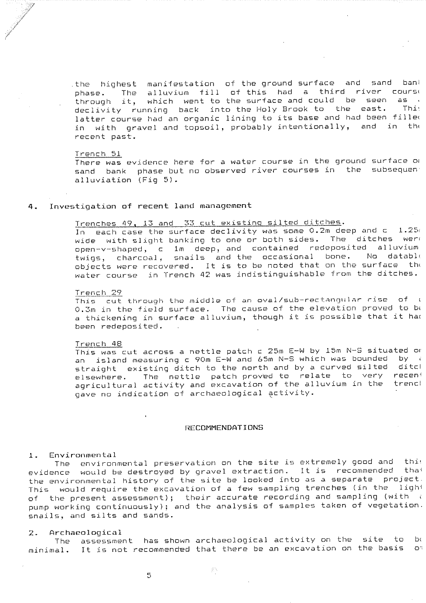manifestation of the ground surface and sand banl the highest. alluvium fill of this had a third river course The phase. which went to the surface and could be seen it,  $a5 - c$ through declivity running back into the Holy Brook to the east. Thi latter course had an organic lining to its base and had been filled with gravel and topsoil, probably intentionally, and in the in recent past.

#### Trench 51

There was evidence here for a water course in the ground surface or sand bank phase but no observed river courses in the subsequen alluviation (Fig 5).

#### Investigation of recent land management  $4.$

# Trenches 49, 13 and 33 cut existing silted ditches.

In each case the surface declivity was some 0.2m deep and  $c = 1.25$ wide with slight banking to one or both sides. The ditches were open-v-shaped, c 1m deep, and contained redeposited alluvium twigs, charcoal, snails and the occasional bone. No datable objects were recovered. It is to be noted that on the surface the water course in Trench 42 was indistinguishable from the ditches.

#### Trench 29

This cut through the middle of an oval/sub-rectangular rise of ( 0.3m in the field surface. The cause of the elevation proved to be a thickening in surface alluvium, though it is possible that it had been redeposited.

#### Trench 48

This was cut across a nettle patch c 25m E-W by 15m N-S situated or an island measuring c 90m E-W and 65m N-S which was bounded by a straight existing ditch to the north and by a curved silted  $distcl$ The nettle patch-proved-to-relate to very receni elsewhere. agricultural activity and excavation of the alluvium in the trencl gave no indication of archaeological activity.

### RECOMMENDATIONS

#### Environmental  $1.$

The environmental preservation on the site is extremely good and this evidence would be destroyed by gravel extraction. It is recommended that the environmental history of the site be looked into as a separate project. This would require the excavation of a few sampling trenches (in the light of the present assessment); their accurate recording and sampling (with a pump working continuously); and the analysis of samples taken of vegetation. snails, and silts and sands.

#### Archaeological  $2.$

The assessment has shown archaeological activity on the  $b($ site to  $\mathbf{D}$  if It is not recommended that there be an excavation on the basis minimal.

动物

5